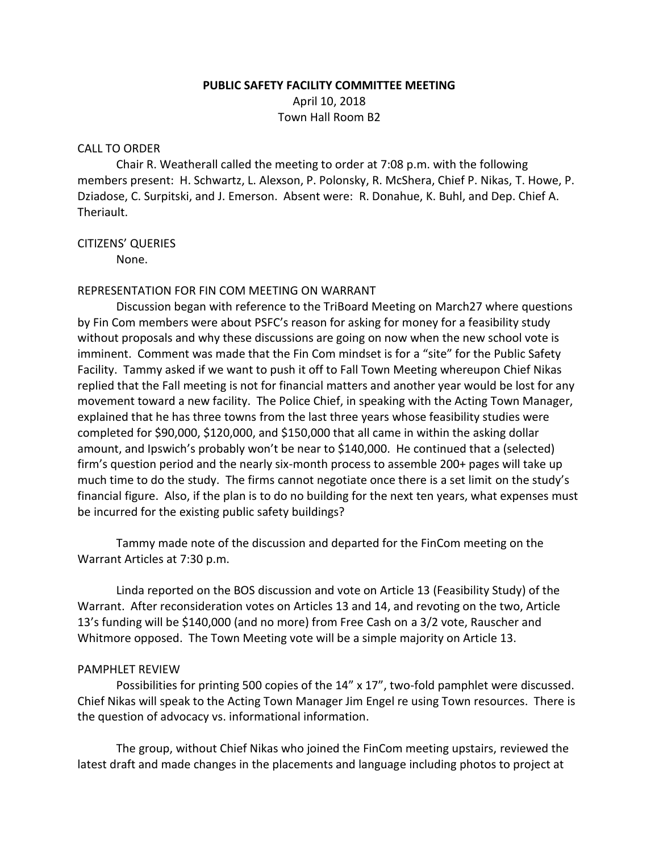# **PUBLIC SAFETY FACILITY COMMITTEE MEETING** April 10, 2018 Town Hall Room B2

#### CALL TO ORDER

Chair R. Weatherall called the meeting to order at 7:08 p.m. with the following members present: H. Schwartz, L. Alexson, P. Polonsky, R. McShera, Chief P. Nikas, T. Howe, P. Dziadose, C. Surpitski, and J. Emerson. Absent were: R. Donahue, K. Buhl, and Dep. Chief A. Theriault.

#### CITIZENS' QUERIES

None.

#### REPRESENTATION FOR FIN COM MEETING ON WARRANT

Discussion began with reference to the TriBoard Meeting on March27 where questions by Fin Com members were about PSFC's reason for asking for money for a feasibility study without proposals and why these discussions are going on now when the new school vote is imminent. Comment was made that the Fin Com mindset is for a "site" for the Public Safety Facility. Tammy asked if we want to push it off to Fall Town Meeting whereupon Chief Nikas replied that the Fall meeting is not for financial matters and another year would be lost for any movement toward a new facility. The Police Chief, in speaking with the Acting Town Manager, explained that he has three towns from the last three years whose feasibility studies were completed for \$90,000, \$120,000, and \$150,000 that all came in within the asking dollar amount, and Ipswich's probably won't be near to \$140,000. He continued that a (selected) firm's question period and the nearly six-month process to assemble 200+ pages will take up much time to do the study. The firms cannot negotiate once there is a set limit on the study's financial figure. Also, if the plan is to do no building for the next ten years, what expenses must be incurred for the existing public safety buildings?

Tammy made note of the discussion and departed for the FinCom meeting on the Warrant Articles at 7:30 p.m.

Linda reported on the BOS discussion and vote on Article 13 (Feasibility Study) of the Warrant. After reconsideration votes on Articles 13 and 14, and revoting on the two, Article 13's funding will be \$140,000 (and no more) from Free Cash on a 3/2 vote, Rauscher and Whitmore opposed. The Town Meeting vote will be a simple majority on Article 13.

## PAMPHLET REVIEW

Possibilities for printing 500 copies of the 14" x 17", two-fold pamphlet were discussed. Chief Nikas will speak to the Acting Town Manager Jim Engel re using Town resources. There is the question of advocacy vs. informational information.

The group, without Chief Nikas who joined the FinCom meeting upstairs, reviewed the latest draft and made changes in the placements and language including photos to project at